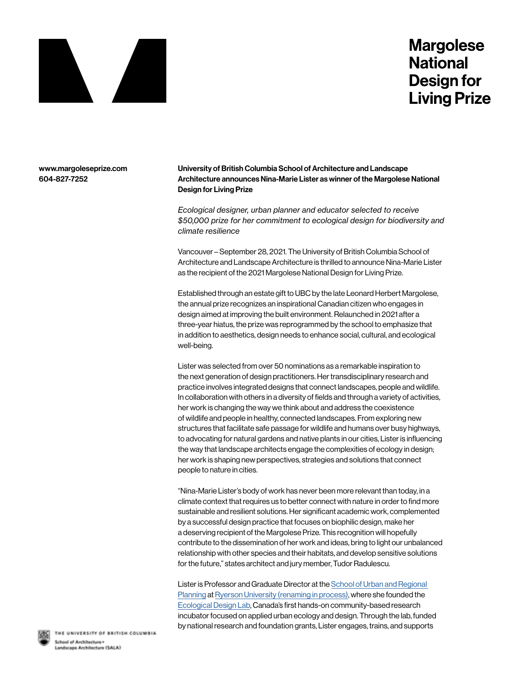

## **Margolese National Design for Living Prize**

www.margoleseprize.com 604-827-7252

University of British Columbia School of Architecture and Landscape Architecture announces Nina-Marie Lister as winner of the Margolese National Design for Living Prize

*Ecological designer, urban planner and educator selected to receive \$50,000 prize for her commitment to ecological design for biodiversity and climate resilience*

Vancouver – September 28, 2021. The University of British Columbia School of Architecture and Landscape Architecture is thrilled to announce Nina-Marie Lister as the recipient of the 2021 Margolese National Design for Living Prize.

Established through an estate gift to UBC by the late Leonard Herbert Margolese, the annual prize recognizes an inspirational Canadian citizen who engages in design aimed at improving the built environment. Relaunched in 2021 after a three-year hiatus, the prize was reprogrammed by the school to emphasize that in addition to aesthetics, design needs to enhance social, cultural, and ecological well-being.

Lister was selected from over 50 nominations as a remarkable inspiration to the next generation of design practitioners. Her transdisciplinary research and practice involves integrated designs that connect landscapes, people and wildlife. In collaboration with others in a diversity of fields and through a variety of activities, her work is changing the way we think about and address the coexistence of wildlife and people in healthy, connected landscapes. From exploring new structures that facilitate safe passage for wildlife and humans over busy highways, to advocating for natural gardens and native plants in our cities, Lister is influencing the way that landscape architects engage the complexities of ecology in design; her work is shaping new perspectives, strategies and solutions that connect people to nature in cities.

"Nina-Marie Lister's body of work has never been more relevant than today, in a climate context that requires us to better connect with nature in order to find more sustainable and resilient solutions. Her significant academic work, complemented by a successful design practice that focuses on biophilic design, make her a deserving recipient of the Margolese Prize. This recognition will hopefully contribute to the dissemination of her work and ideas, bring to light our unbalanced relationship with other species and their habitats, and develop sensitive solutions for the future," states architect and jury member, Tudor Radulescu.

Lister is Professor and Graduate Director at the School of Urban and Regional Planning at Ryerson University (renaming in process), where she founded the Ecological Design Lab, Canada's first hands-on community-based research incubator focused on applied urban ecology and design. Through the lab, funded by national research and foundation grants, Lister engages, trains, and supports



THE UNIVERSITY OF BRITISH COLUMBIA School of Architecture Landscape Architecture (SALA)